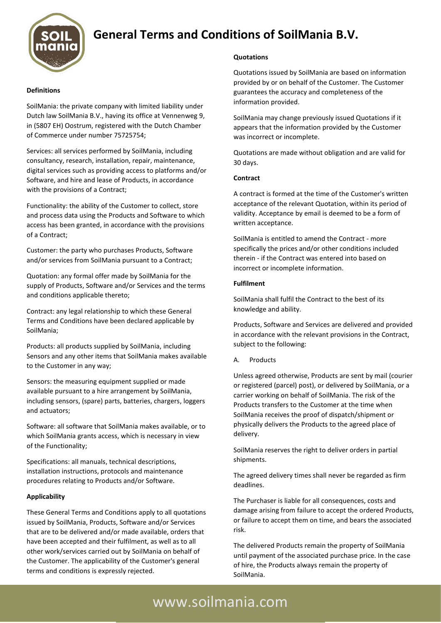

# **General Terms and Conditions of SoilMania B.V.**

#### **Definitions**

SoilMania: the private company with limited liability under Dutch law SoilMania B.V., having its office at Vennenweg 9, in (5807 EH) Oostrum, registered with the Dutch Chamber of Commerce under number 75725754;

Services: all services performed by SoilMania, including consultancy, research, installation, repair, maintenance, digital services such as providing access to platforms and/or Software, and hire and lease of Products, in accordance with the provisions of a Contract;

Functionality: the ability of the Customer to collect, store and process data using the Products and Software to which access has been granted, in accordance with the provisions of a Contract;

Customer: the party who purchases Products, Software and/or services from SoilMania pursuant to a Contract;

Quotation: any formal offer made by SoilMania for the supply of Products, Software and/or Services and the terms and conditions applicable thereto;

Contract: any legal relationship to which these General Terms and Conditions have been declared applicable by SoilMania;

Products: all products supplied by SoilMania, including Sensors and any other items that SoilMania makes available to the Customer in any way;

Sensors: the measuring equipment supplied or made available pursuant to a hire arrangement by SoilMania, including sensors, (spare) parts, batteries, chargers, loggers and actuators;

Software: all software that SoilMania makes available, or to which SoilMania grants access, which is necessary in view of the Functionality;

Specifications: all manuals, technical descriptions, installation instructions, protocols and maintenance procedures relating to Products and/or Software.

#### **Applicability**

These General Terms and Conditions apply to all quotations issued by SoilMania, Products, Software and/or Services that are to be delivered and/or made available, orders that have been accepted and their fulfilment, as well as to all other work/services carried out by SoilMania on behalf of the Customer. The applicability of the Customer's general terms and conditions is expressly rejected.

#### **Quotations**

Quotations issued by SoilMania are based on information provided by or on behalf of the Customer. The Customer guarantees the accuracy and completeness of the information provided.

SoilMania may change previously issued Quotations if it appears that the information provided by the Customer was incorrect or incomplete.

Quotations are made without obligation and are valid for 30 days.

#### **Contract**

A contract is formed at the time of the Customer's written acceptance of the relevant Quotation, within its period of validity. Acceptance by email is deemed to be a form of written acceptance.

SoilMania is entitled to amend the Contract - more specifically the prices and/or other conditions included therein - if the Contract was entered into based on incorrect or incomplete information.

#### **Fulfilment**

SoilMania shall fulfil the Contract to the best of its knowledge and ability.

Products, Software and Services are delivered and provided in accordance with the relevant provisions in the Contract, subject to the following:

A. Products

Unless agreed otherwise, Products are sent by mail (courier or registered (parcel) post), or delivered by SoilMania, or a carrier working on behalf of SoilMania. The risk of the Products transfers to the Customer at the time when SoilMania receives the proof of dispatch/shipment or physically delivers the Products to the agreed place of delivery.

SoilMania reserves the right to deliver orders in partial shipments.

The agreed delivery times shall never be regarded as firm deadlines.

The Purchaser is liable for all consequences, costs and damage arising from failure to accept the ordered Products, or failure to accept them on time, and bears the associated risk.

The delivered Products remain the property of SoilMania until payment of the associated purchase price. In the case of hire, the Products always remain the property of SoilMania.

# www.soilmania.com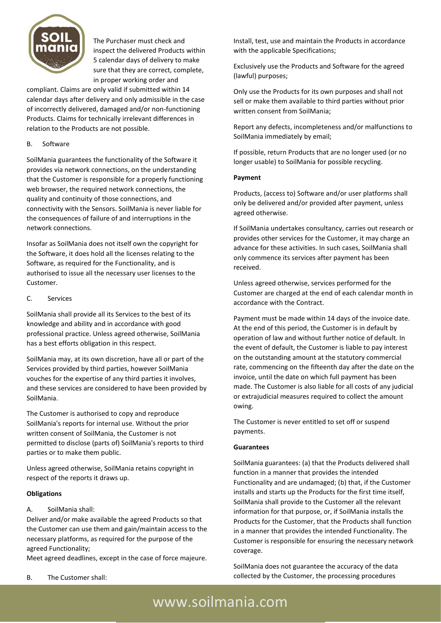

The Purchaser must check and inspect the delivered Products within 5 calendar days of delivery to make sure that they are correct, complete, in proper working order and

compliant. Claims are only valid if submitted within 14 calendar days after delivery and only admissible in the case of incorrectly delivered, damaged and/or non-functioning Products. Claims for technically irrelevant differences in relation to the Products are not possible.

## B. Software

SoilMania guarantees the functionality of the Software it provides via network connections, on the understanding that the Customer is responsible for a properly functioning web browser, the required network connections, the quality and continuity of those connections, and connectivity with the Sensors. SoilMania is never liable for the consequences of failure of and interruptions in the network connections.

Insofar as SoilMania does not itself own the copyright for the Software, it does hold all the licenses relating to the Software, as required for the Functionality, and is authorised to issue all the necessary user licenses to the Customer.

## C. Services

SoilMania shall provide all its Services to the best of its knowledge and ability and in accordance with good professional practice. Unless agreed otherwise, SoilMania has a best efforts obligation in this respect.

SoilMania may, at its own discretion, have all or part of the Services provided by third parties, however SoilMania vouches for the expertise of any third parties it involves, and these services are considered to have been provided by SoilMania.

The Customer is authorised to copy and reproduce SoilMania's reports for internal use. Without the prior written consent of SoilMania, the Customer is not permitted to disclose (parts of) SoilMania's reports to third parties or to make them public.

Unless agreed otherwise, SoilMania retains copyright in respect of the reports it draws up.

# **Obligations**

# A. SoilMania shall:

Deliver and/or make available the agreed Products so that the Customer can use them and gain/maintain access to the necessary platforms, as required for the purpose of the agreed Functionality;

Meet agreed deadlines, except in the case of force majeure.

Install, test, use and maintain the Products in accordance with the applicable Specifications;

Exclusively use the Products and Software for the agreed (lawful) purposes;

Only use the Products for its own purposes and shall not sell or make them available to third parties without prior written consent from SoilMania;

Report any defects, incompleteness and/or malfunctions to SoilMania immediately by email;

If possible, return Products that are no longer used (or no longer usable) to SoilMania for possible recycling.

## **Payment**

Products, (access to) Software and/or user platforms shall only be delivered and/or provided after payment, unless agreed otherwise.

If SoilMania undertakes consultancy, carries out research or provides other services for the Customer, it may charge an advance for these activities. In such cases, SoilMania shall only commence its services after payment has been received.

Unless agreed otherwise, services performed for the Customer are charged at the end of each calendar month in accordance with the Contract.

Payment must be made within 14 days of the invoice date. At the end of this period, the Customer is in default by operation of law and without further notice of default. In the event of default, the Customer is liable to pay interest on the outstanding amount at the statutory commercial rate, commencing on the fifteenth day after the date on the invoice, until the date on which full payment has been made. The Customer is also liable for all costs of any judicial or extrajudicial measures required to collect the amount owing.

The Customer is never entitled to set off or suspend payments.

#### **Guarantees**

SoilMania guarantees: (a) that the Products delivered shall function in a manner that provides the intended Functionality and are undamaged; (b) that, if the Customer installs and starts up the Products for the first time itself, SoilMania shall provide to the Customer all the relevant information for that purpose, or, if SoilMania installs the Products for the Customer, that the Products shall function in a manner that provides the intended Functionality. The Customer is responsible for ensuring the necessary network coverage.

SoilMania does not guarantee the accuracy of the data collected by the Customer, the processing procedures

# www.soilmania.com